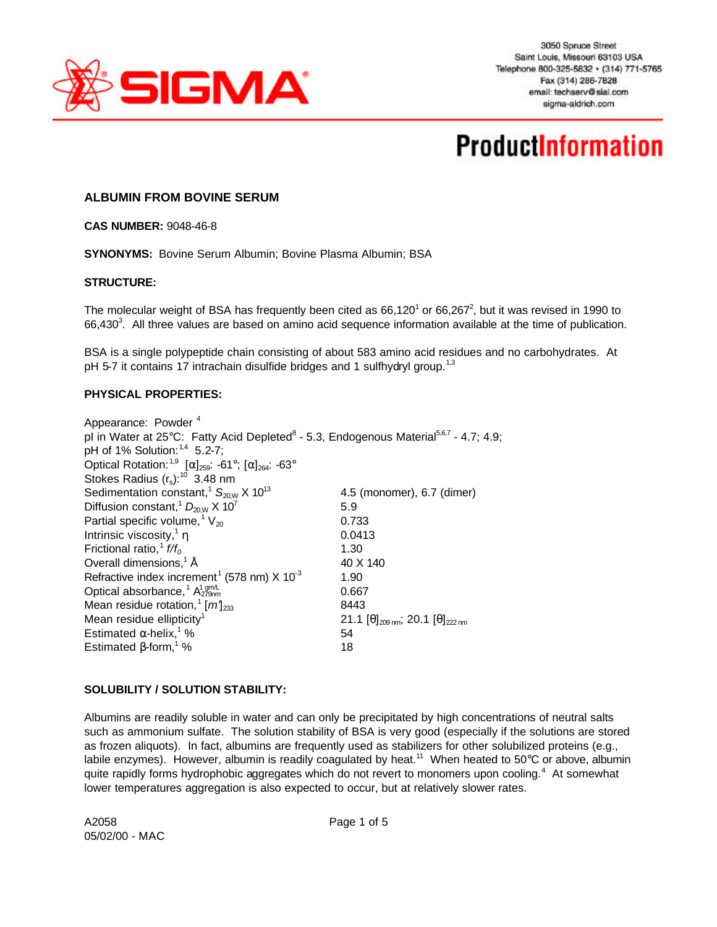

# **ProductInformation**

### **ALBUMIN FROM BOVINE SERUM**

**CAS NUMBER:** 9048-46-8

**SYNONYMS:** Bovine Serum Albumin; Bovine Plasma Albumin; BSA

#### **STRUCTURE:**

The molecular weight of BSA has frequently been cited as  $66,120^1$  or  $66,267^2$ , but it was revised in 1990 to 66,430<sup>3</sup>. All three values are based on amino acid sequence information available at the time of publication.

BSA is a single polypeptide chain consisting of about 583 amino acid residues and no carbohydrates. At pH 5-7 it contains 17 intrachain disulfide bridges and 1 sulfhydryl group.<sup>1,3</sup>

#### **PHYSICAL PROPERTIES:**

| Appearance: Powder <sup>4</sup>                                                                               |                                                                     |
|---------------------------------------------------------------------------------------------------------------|---------------------------------------------------------------------|
| pl in Water at 25°C: Fatty Acid Depleted <sup>8</sup> - 5.3, Endogenous Material <sup>5,6,7</sup> - 4.7; 4.9; |                                                                     |
| pH of 1% Solution: 1,4 5.2-7;                                                                                 |                                                                     |
| Optical Rotation: <sup>1,9</sup> [ $\alpha$ ] <sub>259</sub> : -61°; [ $\alpha$ ] <sub>264</sub> : -63°       |                                                                     |
| Stokes Radius $(r_s)$ : <sup>10</sup> 3.48 nm                                                                 |                                                                     |
| Sedimentation constant, <sup>1</sup> $S_{20W}$ X 10 <sup>13</sup>                                             | 4.5 (monomer), 6.7 (dimer)                                          |
| Diffusion constant, <sup>1</sup> $D_{20W}$ X 10 <sup>7</sup>                                                  | 5.9                                                                 |
| Partial specific volume, $V_{20}$                                                                             | 0.733                                                               |
| Intrinsic viscosity, $1 \eta$                                                                                 | 0.0413                                                              |
| Frictional ratio, $\frac{1}{1} f/f_0$                                                                         | 1.30                                                                |
| Overall dimensions, <sup>1</sup> Å                                                                            | 40 X 140                                                            |
| Refractive index increment <sup>1</sup> (578 nm) $X$ 10 <sup>-3</sup>                                         | 1.90                                                                |
| Optical absorbance, <sup>1</sup> $A_{279nm}^{1 gm/L}$                                                         | 0.667                                                               |
| Mean residue rotation, <sup>1</sup> $[m]_{233}$                                                               | 8443                                                                |
| Mean residue ellipticity <sup>1</sup>                                                                         | 21.1 $[\theta]_{209 \text{ nm}}$ ; 20.1 $[\theta]_{222 \text{ nm}}$ |
| Estimated $\alpha$ -helix, <sup>1</sup> %                                                                     | 54                                                                  |
| Estimated $\beta$ -form, <sup>1</sup> %                                                                       | 18                                                                  |
|                                                                                                               |                                                                     |

#### **SOLUBILITY / SOLUTION STABILITY:**

Albumins are readily soluble in water and can only be precipitated by high concentrations of neutral salts such as ammonium sulfate. The solution stability of BSA is very good (especially if the solutions are stored as frozen aliquots). In fact, albumins are frequently used as stabilizers for other solubilized proteins (e.g., labile enzymes). However, albumin is readily coagulated by heat.<sup>11</sup> When heated to 50°C or above, albumin quite rapidly forms hydrophobic aggregates which do not revert to monomers upon cooling.<sup>4</sup> At somewhat lower temperatures aggregation is also expected to occur, but at relatively slower rates.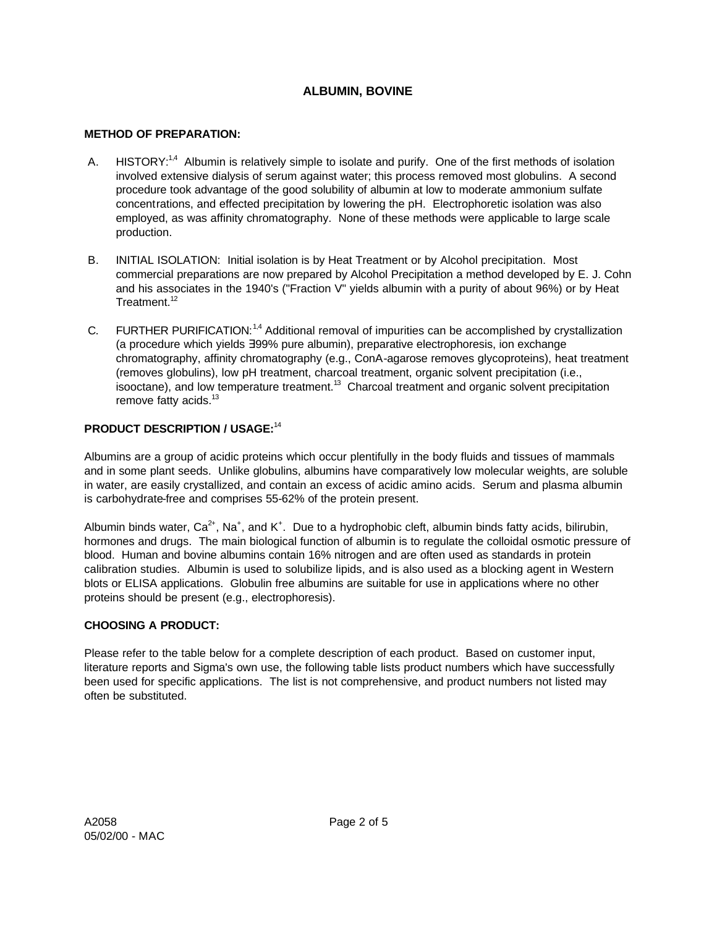# **ALBUMIN, BOVINE**

#### **METHOD OF PREPARATION:**

- A. HISTORY:<sup>1,4</sup> Albumin is relatively simple to isolate and purify. One of the first methods of isolation involved extensive dialysis of serum against water; this process removed most globulins. A second procedure took advantage of the good solubility of albumin at low to moderate ammonium sulfate concentrations, and effected precipitation by lowering the pH. Electrophoretic isolation was also employed, as was affinity chromatography. None of these methods were applicable to large scale production.
- B. INITIAL ISOLATION: Initial isolation is by Heat Treatment or by Alcohol precipitation. Most commercial preparations are now prepared by Alcohol Precipitation a method developed by E. J. Cohn and his associates in the 1940's ("Fraction V" yields albumin with a purity of about 96%) or by Heat Treatment.<sup>12</sup>
- C. FURTHER PURIFICATION:<sup>1,4</sup> Additional removal of impurities can be accomplished by crystallization (a procedure which yields ∃99% pure albumin), preparative electrophoresis, ion exchange chromatography, affinity chromatography (e.g., ConA-agarose removes glycoproteins), heat treatment (removes globulins), low pH treatment, charcoal treatment, organic solvent precipitation (i.e., isooctane), and low temperature treatment.<sup>13</sup> Charcoal treatment and organic solvent precipitation remove fatty acids.<sup>13</sup>

### **PRODUCT DESCRIPTION / USAGE:**<sup>14</sup>

Albumins are a group of acidic proteins which occur plentifully in the body fluids and tissues of mammals and in some plant seeds. Unlike globulins, albumins have comparatively low molecular weights, are soluble in water, are easily crystallized, and contain an excess of acidic amino acids. Serum and plasma albumin is carbohydrate-free and comprises 55-62% of the protein present.

Albumin binds water,  $Ca^{2+}$ , Na<sup>+</sup>, and K<sup>+</sup>. Due to a hydrophobic cleft, albumin binds fatty acids, bilirubin, hormones and drugs. The main biological function of albumin is to regulate the colloidal osmotic pressure of blood. Human and bovine albumins contain 16% nitrogen and are often used as standards in protein calibration studies. Albumin is used to solubilize lipids, and is also used as a blocking agent in Western blots or ELISA applications. Globulin free albumins are suitable for use in applications where no other proteins should be present (e.g., electrophoresis).

### **CHOOSING A PRODUCT:**

Please refer to the table below for a complete description of each product. Based on customer input, literature reports and Sigma's own use, the following table lists product numbers which have successfully been used for specific applications. The list is not comprehensive, and product numbers not listed may often be substituted.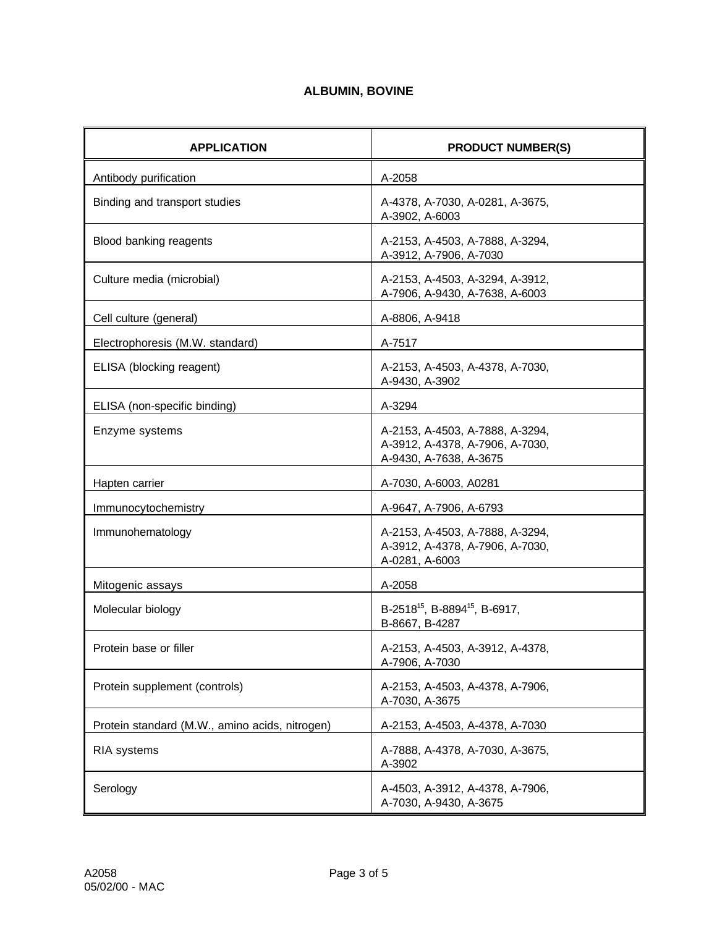# **ALBUMIN, BOVINE**

| <b>APPLICATION</b>                             | <b>PRODUCT NUMBER(S)</b>                                                                     |
|------------------------------------------------|----------------------------------------------------------------------------------------------|
| Antibody purification                          | A-2058                                                                                       |
| Binding and transport studies                  | A-4378, A-7030, A-0281, A-3675,<br>A-3902, A-6003                                            |
| Blood banking reagents                         | A-2153, A-4503, A-7888, A-3294,<br>A-3912, A-7906, A-7030                                    |
| Culture media (microbial)                      | A-2153, A-4503, A-3294, A-3912,<br>A-7906, A-9430, A-7638, A-6003                            |
| Cell culture (general)                         | A-8806, A-9418                                                                               |
| Electrophoresis (M.W. standard)                | A-7517                                                                                       |
| ELISA (blocking reagent)                       | A-2153, A-4503, A-4378, A-7030,<br>A-9430, A-3902                                            |
| ELISA (non-specific binding)                   | A-3294                                                                                       |
| Enzyme systems                                 | A-2153, A-4503, A-7888, A-3294,<br>A-3912, A-4378, A-7906, A-7030,<br>A-9430, A-7638, A-3675 |
| Hapten carrier                                 | A-7030, A-6003, A0281                                                                        |
| Immunocytochemistry                            | A-9647, A-7906, A-6793                                                                       |
| Immunohematology                               | A-2153, A-4503, A-7888, A-3294,<br>A-3912, A-4378, A-7906, A-7030,<br>A-0281, A-6003         |
| Mitogenic assays                               | A-2058                                                                                       |
| Molecular biology                              | B-2518 <sup>15</sup> , B-8894 <sup>15</sup> , B-6917,<br>B-8667, B-4287                      |
| Protein base or filler                         | A-2153, A-4503, A-3912, A-4378,<br>A-7906, A-7030                                            |
| Protein supplement (controls)                  | A-2153, A-4503, A-4378, A-7906,<br>A-7030, A-3675                                            |
| Protein standard (M.W., amino acids, nitrogen) | A-2153, A-4503, A-4378, A-7030                                                               |
| <b>RIA</b> systems                             | A-7888, A-4378, A-7030, A-3675,<br>A-3902                                                    |
| Serology                                       | A-4503, A-3912, A-4378, A-7906,<br>A-7030, A-9430, A-3675                                    |